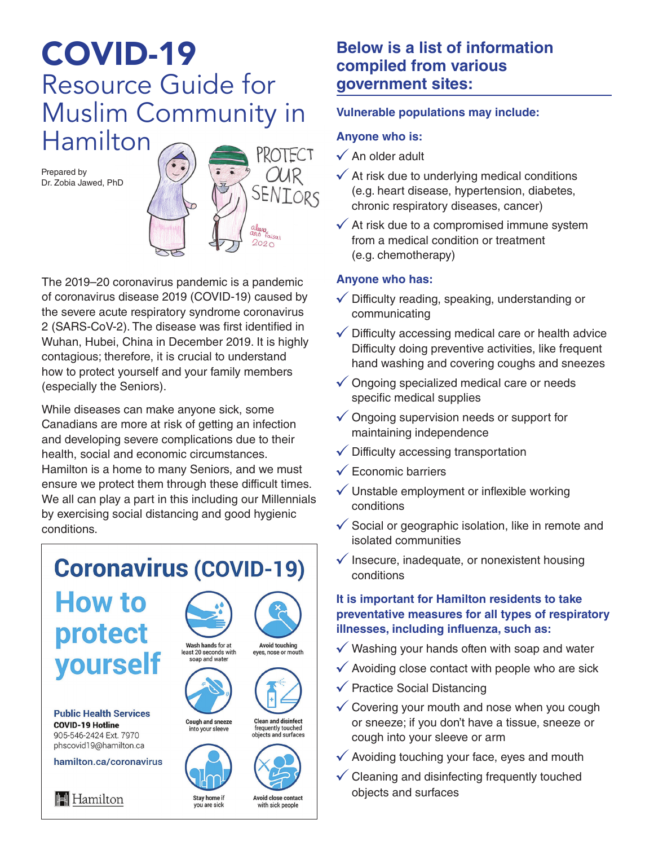# COVID-19 Resource Guide for Muslim Community in Hamilton

Prepared by Dr. Zobia Jawed, PhD



The 2019–20 coronavirus pandemic is a pandemic of coronavirus disease 2019 (COVID-19) caused by the severe acute respiratory syndrome coronavirus 2 (SARS-CoV-2). The disease was first identified in Wuhan, Hubei, China in December 2019. It is highly contagious; therefore, it is crucial to understand how to protect yourself and your family members (especially the Seniors).

While diseases can make anyone sick, some Canadians are more at risk of getting an infection and developing severe complications due to their health, social and economic circumstances. Hamilton is a home to many Seniors, and we must ensure we protect them through these difficult times. We all can play a part in this including our Millennials by exercising social distancing and good hygienic conditions.

#### **Coronavirus (COVID-19) How to** protect Wash hands for at Avoid touching<br>eyes, nose or mouth least 20 seconds with yourself soap and water **Public Health Services** Cough and sneeze **Clean and disinfect COVID-19 Hotline** frequently touched into your sleeve 905-546-2424 Ext. 7970 objects and surfaces phscovid19@hamilton.ca hamilton.ca/coronavirus

Stay home if you are sick

### **Below is a list of information compiled from various government sites:**

#### **Vulnerable populations may include:**

#### **Anyone who is:**

- $\checkmark$  An older adult
- $\checkmark$  At risk due to underlying medical conditions (e.g. heart disease, hypertension, diabetes, chronic respiratory diseases, cancer)
- $\checkmark$  At risk due to a compromised immune system from a medical condition or treatment (e.g. chemotherapy)

#### **Anyone who has:**

- $\checkmark$  Difficulty reading, speaking, understanding or communicating
- $\checkmark$  Difficulty accessing medical care or health advice Difficulty doing preventive activities, like frequent hand washing and covering coughs and sneezes
- $\checkmark$  Ongoing specialized medical care or needs specific medical supplies
- $\checkmark$  Ongoing supervision needs or support for maintaining independence
- $\checkmark$  Difficulty accessing transportation
- $\checkmark$  Economic barriers
- $\checkmark$  Unstable employment or inflexible working conditions
- $\checkmark$  Social or geographic isolation, like in remote and isolated communities
- $\checkmark$  Insecure, inadequate, or nonexistent housing conditions

#### **It is important for Hamilton residents to take preventative measures for all types of respiratory illnesses, including influenza, such as:**

- $\checkmark$  Washing your hands often with soap and water
- $\checkmark$  Avoiding close contact with people who are sick
- $\checkmark$  Practice Social Distancing
- $\checkmark$  Covering your mouth and nose when you cough or sneeze; if you don't have a tissue, sneeze or cough into your sleeve or arm
- $\checkmark$  Avoiding touching your face, eyes and mouth
- $\checkmark$  Cleaning and disinfecting frequently touched objects and surfaces

**II** Hamilton

Avoid close contact with sick people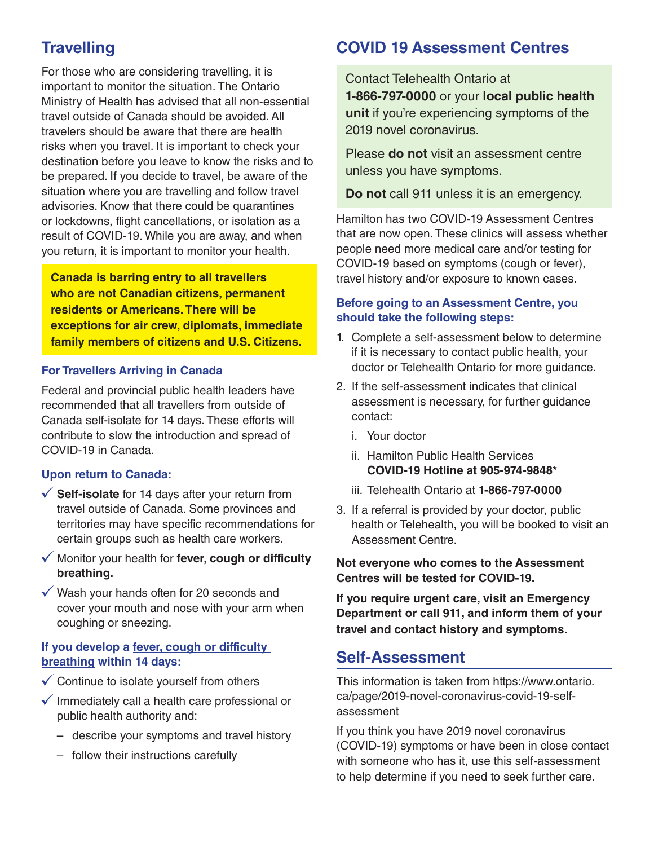## **Travelling**

For those who are considering travelling, it is important to monitor the situation. The Ontario Ministry of Health has advised that all non-essential travel outside of Canada should be avoided. All travelers should be aware that there are health risks when you travel. It is important to check your destination before you leave to know the risks and to be prepared. If you decide to travel, be aware of the situation where you are travelling and follow travel advisories. Know that there could be quarantines or lockdowns, flight cancellations, or isolation as a result of COVID-19. While you are away, and when you return, it is important to monitor your health.

**Canada is barring entry to all travellers who are not Canadian citizens, permanent residents or Americans. There will be exceptions for air crew, diplomats, immediate family members of citizens and U.S. Citizens.**

#### **For Travellers Arriving in Canada**

Federal and provincial public health leaders have recommended that all travellers from outside of Canada self-isolate for 14 days. These efforts will contribute to slow the introduction and spread of COVID-19 in Canada.

#### **Upon return to Canada:**

- **Self-isolate** for 14 days after your return from travel outside of Canada. Some provinces and territories may have specific recommendations for certain groups such as health care workers.
- Monitor your health for **fever, cough or difficulty breathing.**
- $\sqrt{\ }$  Wash your hands often for 20 seconds and cover your mouth and nose with your arm when coughing or sneezing.

#### **If you develop a fever, cough or difficulty breathing within 14 days:**

- $\checkmark$  Continue to isolate yourself from others
- $\checkmark$  Immediately call a health care professional or public health authority and:
	- describe your symptoms and travel history
	- follow their instructions carefully

### **COVID 19 Assessment Centres**

Contact Telehealth Ontario at **1-866-797-0000** or your **local public health unit** if you're experiencing symptoms of the 2019 novel coronavirus.

Please **do not** visit an assessment centre unless you have symptoms.

**Do not** call 911 unless it is an emergency.

Hamilton has two COVID-19 Assessment Centres that are now open. These clinics will assess whether people need more medical care and/or testing for COVID-19 based on symptoms (cough or fever), travel history and/or exposure to known cases.

#### **Before going to an Assessment Centre, you should take the following steps:**

- 1. Complete a self-assessment below to determine if it is necessary to contact public health, your doctor or Telehealth Ontario for more guidance.
- 2. If the self-assessment indicates that clinical assessment is necessary, for further guidance contact:
	- i. Your doctor
	- ii. Hamilton Public Health Services **COVID-19 Hotline at 905-974-9848\***
	- iii. Telehealth Ontario at **1-866-797-0000**
- 3. If a referral is provided by your doctor, public health or Telehealth, you will be booked to visit an Assessment Centre.

**Not everyone who comes to the Assessment Centres will be tested for COVID-19.**

**If you require urgent care, visit an Emergency Department or call 911, and inform them of your travel and contact history and symptoms.**

### **Self-Assessment**

This information is taken from https://www.ontario. ca/page/2019-novel-coronavirus-covid-19-selfassessment

If you think you have 2019 novel coronavirus (COVID-19) symptoms or have been in close contact with someone who has it, use this self-assessment to help determine if you need to seek further care.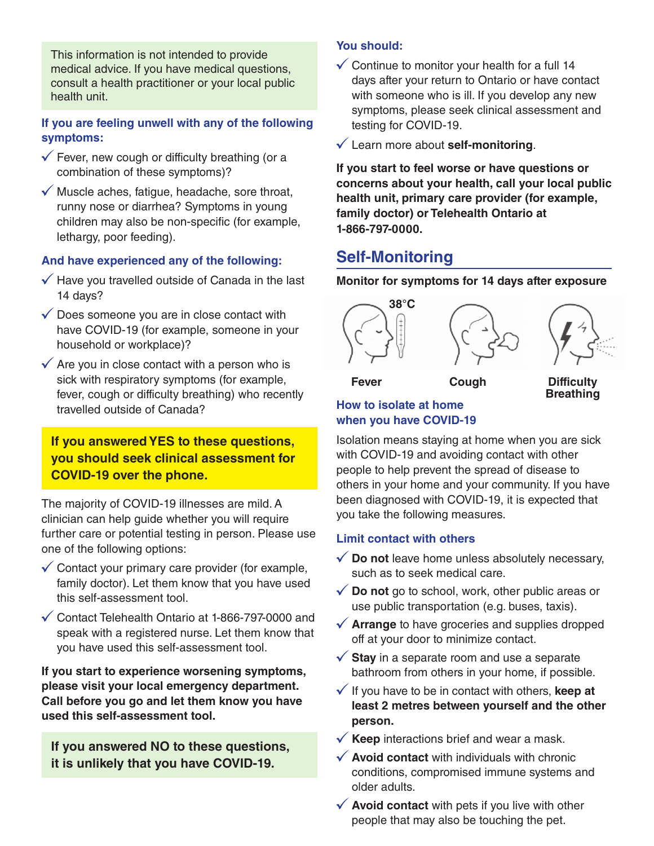This information is not intended to provide medical advice. If you have medical questions, consult a health practitioner or your local public health unit.

#### **If you are feeling unwell with any of the following symptoms:**

- $\checkmark$  Fever, new cough or difficulty breathing (or a combination of these symptoms)?
- $\checkmark$  Muscle aches, fatigue, headache, sore throat, runny nose or diarrhea? Symptoms in young children may also be non-specific (for example, lethargy, poor feeding).

#### **And have experienced any of the following:**

- $\sqrt{\ }$  Have you travelled outside of Canada in the last 14 days?
- $\checkmark$  Does someone you are in close contact with have COVID-19 (for example, someone in your household or workplace)?
- $\checkmark$  Are you in close contact with a person who is sick with respiratory symptoms (for example, fever, cough or difficulty breathing) who recently travelled outside of Canada?

### **If you answered YES to these questions, you should seek clinical assessment for COVID-19 over the phone.**

The majority of COVID-19 illnesses are mild. A clinician can help guide whether you will require further care or potential testing in person. Please use one of the following options:

- $\checkmark$  Contact your primary care provider (for example, family doctor). Let them know that you have used this self-assessment tool.
- $\checkmark$  Contact Telehealth Ontario at 1-866-797-0000 and speak with a registered nurse. Let them know that you have used this self-assessment tool.

**If you start to experience worsening symptoms, please visit your local emergency department. Call before you go and let them know you have used this self-assessment tool.**

**If you answered NO to these questions, it is unlikely that you have COVID-19.**

#### **You should:**

- $\checkmark$  Continue to monitor your health for a full 14 days after your return to Ontario or have contact with someone who is ill. If you develop any new symptoms, please seek clinical assessment and testing for COVID-19.
- Learn more about **self-monitoring**.

**If you start to feel worse or have questions or concerns about your health, call your local public health unit, primary care provider (for example, family doctor) or Telehealth Ontario at 1-866-797-0000.**

### **Self-Monitoring**

#### **Monitor for symptoms for 14 days after exposure**



**Fever Cough Difficulty Breathing**

#### **How to isolate at home when you have COVID-19**

Isolation means staying at home when you are sick with COVID-19 and avoiding contact with other people to help prevent the spread of disease to others in your home and your community. If you have been diagnosed with COVID-19, it is expected that you take the following measures.

#### **Limit contact with others**

- $\checkmark$  Do not leave home unless absolutely necessary, such as to seek medical care.
- **Do not** go to school, work, other public areas or use public transportation (e.g. buses, taxis).
- **★ Arrange** to have groceries and supplies dropped off at your door to minimize contact.
- $\checkmark$  **Stay** in a separate room and use a separate bathroom from others in your home, if possible.
- $\checkmark$  If you have to be in contact with others, **keep at least 2 metres between yourself and the other person.**
- $\checkmark$  **Keep** interactions brief and wear a mask.
- $\checkmark$  **Avoid contact** with individuals with chronic conditions, compromised immune systems and older adults.
- **Avoid contact** with pets if you live with other people that may also be touching the pet.